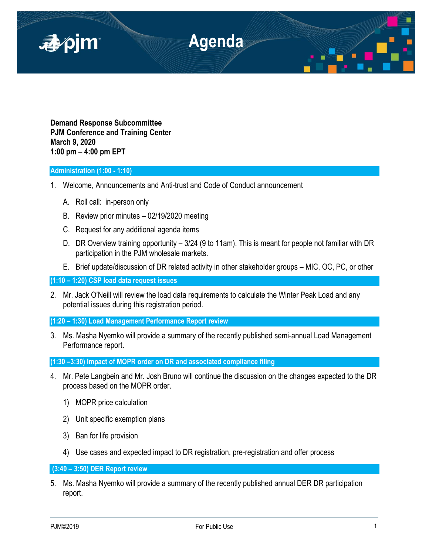

**Demand Response Subcommittee PJM Conference and Training Center March 9, 2020 1:00 pm – 4:00 pm EPT**

# **Administration (1:00 - 1:10)**

- 1. Welcome, Announcements and Anti-trust and Code of Conduct announcement
	- A. Roll call: in-person only
	- B. Review prior minutes 02/19/2020 meeting
	- C. Request for any additional agenda items
	- D. DR Overview training opportunity 3/24 (9 to 11am). This is meant for people not familiar with DR participation in the PJM wholesale markets.
	- E. Brief update/discussion of DR related activity in other stakeholder groups MIC, OC, PC, or other

**(1:10 – 1:20) CSP load data request issues**

2. Mr. Jack O'Neill will review the load data requirements to calculate the Winter Peak Load and any potential issues during this registration period.

**(1:20 – 1:30) Load Management Performance Report review**

3. Ms. Masha Nyemko will provide a summary of the recently published semi-annual Load Management Performance report.

**(1:30 –3:30) Impact of MOPR order on DR and associated compliance filing**

- 4. Mr. Pete Langbein and Mr. Josh Bruno will continue the discussion on the changes expected to the DR process based on the MOPR order.
	- 1) MOPR price calculation
	- 2) Unit specific exemption plans
	- 3) Ban for life provision
	- 4) Use cases and expected impact to DR registration, pre-registration and offer process

**(3:40 – 3:50) DER Report review**

5. Ms. Masha Nyemko will provide a summary of the recently published annual DER DR participation report.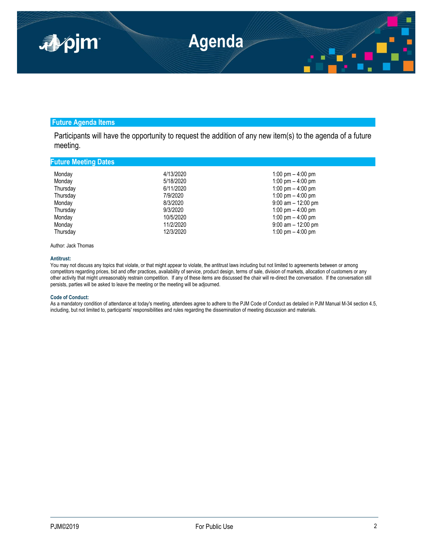

## **Future Agenda Items**

Participants will have the opportunity to request the addition of any new item(s) to the agenda of a future meeting.

## **Future Meeting Dates**

| Monday   | 4/13/2020 | 1:00 pm $-$ 4:00 pm   |
|----------|-----------|-----------------------|
| Monday   | 5/18/2020 | 1:00 pm $-$ 4:00 pm   |
| Thursday | 6/11/2020 | 1:00 pm $-$ 4:00 pm   |
| Thursday | 7/9/2020  | 1:00 pm $-$ 4:00 pm   |
| Monday   | 8/3/2020  | $9:00$ am $-12:00$ pm |
| Thursday | 9/3/2020  | 1:00 pm $-$ 4:00 pm   |
| Monday   | 10/5/2020 | 1:00 pm $-$ 4:00 pm   |
| Monday   | 11/2/2020 | $9:00$ am $-12:00$ pm |
| Thursday | 12/3/2020 | 1:00 pm $-$ 4:00 pm   |

Author: Jack Thomas

### **Antitrust:**

You may not discuss any topics that violate, or that might appear to violate, the antitrust laws including but not limited to agreements between or among competitors regarding prices, bid and offer practices, availability of service, product design, terms of sale, division of markets, allocation of customers or any other activity that might unreasonably restrain competition. If any of these items are discussed the chair will re-direct the conversation. If the conversation still persists, parties will be asked to leave the meeting or the meeting will be adjourned.

### **Code of Conduct:**

As a mandatory condition of attendance at today's meeting, attendees agree to adhere to the PJM Code of Conduct as detailed in PJM Manual M-34 section 4.5, including, but not limited to, participants' responsibilities and rules regarding the dissemination of meeting discussion and materials.